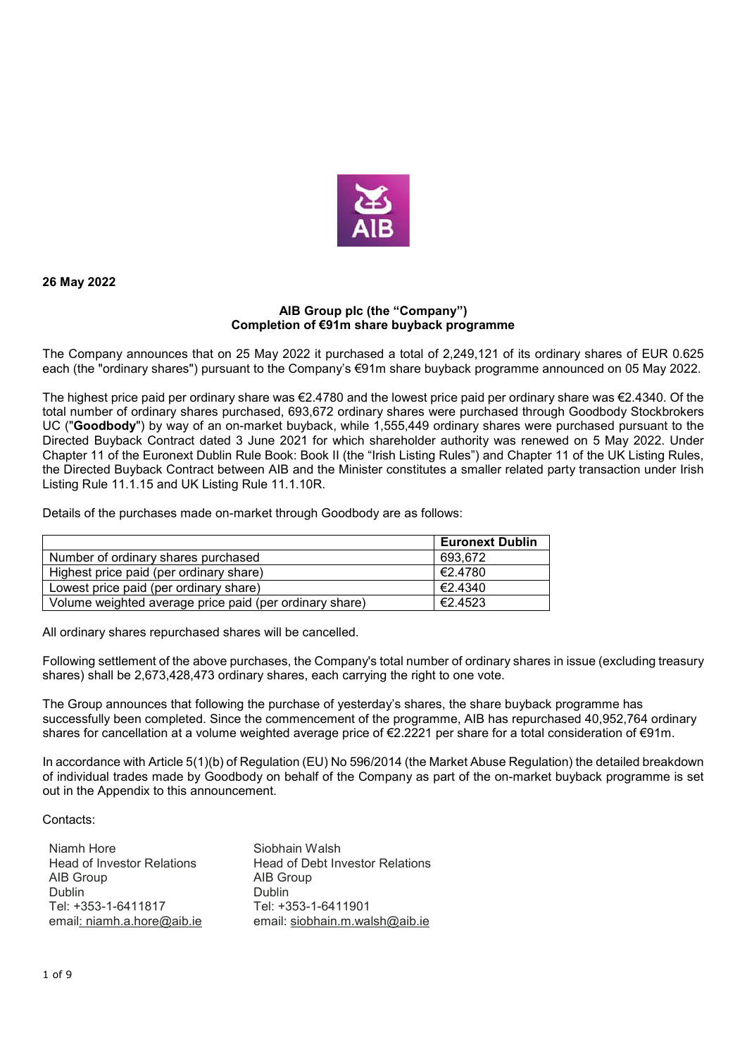

**26 May 2022** 

## **AIB Group plc (the "Company") Completion of €91m share buyback programme**

The Company announces that on 25 May 2022 it purchased a total of 2,249,121 of its ordinary shares of EUR 0.625 each (the "ordinary shares") pursuant to the Company's €91m share buyback programme announced on 05 May 2022.

The highest price paid per ordinary share was  $\epsilon$ 2.4780 and the lowest price paid per ordinary share was  $\epsilon$ 2.4340. Of the total number of ordinary shares purchased, 693,672 ordinary shares were purchased through Goodbody Stockbrokers UC ("**Goodbody**") by way of an on-market buyback, while 1,555,449 ordinary shares were purchased pursuant to the Directed Buyback Contract dated 3 June 2021 for which shareholder authority was renewed on 5 May 2022. Under Chapter 11 of the Euronext Dublin Rule Book: Book II (the "Irish Listing Rules") and Chapter 11 of the UK Listing Rules, the Directed Buyback Contract between AIB and the Minister constitutes a smaller related party transaction under Irish Listing Rule 11.1.15 and UK Listing Rule 11.1.10R.

Details of the purchases made on-market through Goodbody are as follows:

|                                                         | <b>Euronext Dublin</b> |
|---------------------------------------------------------|------------------------|
| Number of ordinary shares purchased                     | 693.672                |
| Highest price paid (per ordinary share)                 | 1€2.4780               |
| Lowest price paid (per ordinary share)                  | €2.4340                |
| Volume weighted average price paid (per ordinary share) | €2.4523                |

All ordinary shares repurchased shares will be cancelled.

Following settlement of the above purchases, the Company's total number of ordinary shares in issue (excluding treasury shares) shall be 2,673,428,473 ordinary shares, each carrying the right to one vote.

The Group announces that following the purchase of yesterday's shares, the share buyback programme has successfully been completed. Since the commencement of the programme, AIB has repurchased 40,952,764 ordinary shares for cancellation at a volume weighted average price of €2.2221 per share for a total consideration of €91m.

In accordance with Article 5(1)(b) of Regulation (EU) No 596/2014 (the Market Abuse Regulation) the detailed breakdown of individual trades made by Goodbody on behalf of the Company as part of the on-market buyback programme is set out in the Appendix to this announcement.

Contacts:

| Niamh Hore                        | Siobhain Walsh                         |
|-----------------------------------|----------------------------------------|
| <b>Head of Investor Relations</b> | <b>Head of Debt Investor Relations</b> |
| AIB Group                         | AIB Group                              |
| Dublin                            | Dublin                                 |
| Tel: +353-1-6411817               | Tel: +353-1-6411901                    |
| email: niamh.a.hore@aib.ie        | email: siobhain.m.walsh@aib.ie         |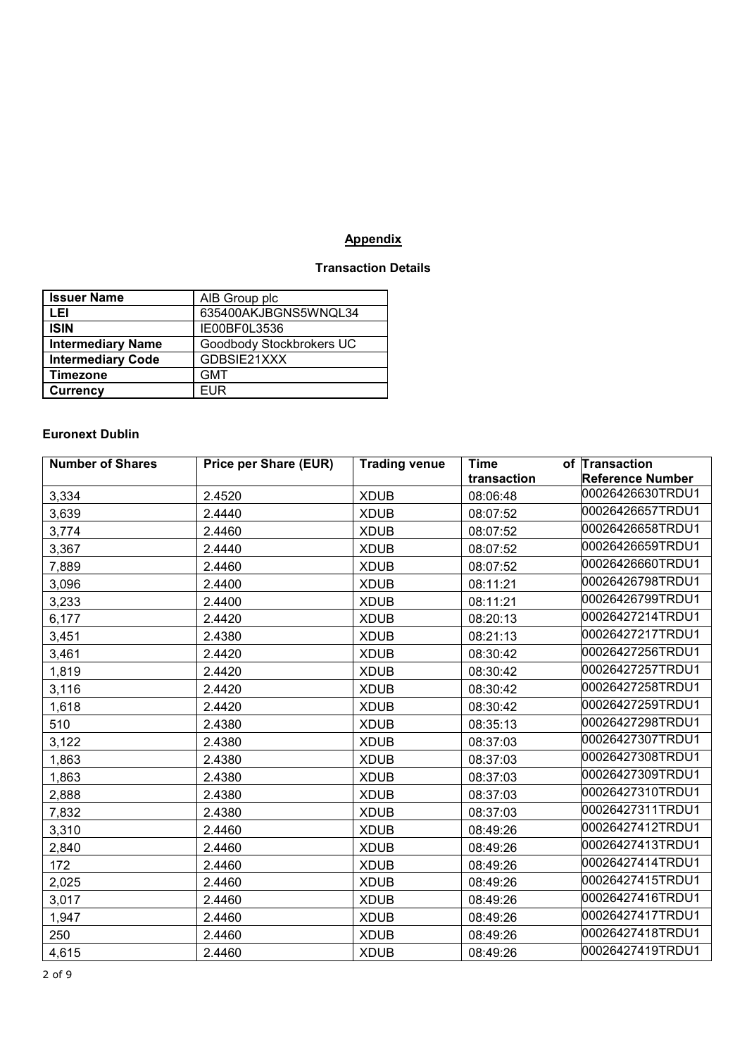## **Appendix**

## **Transaction Details**

| <b>Issuer Name</b>       | AIB Group plc            |
|--------------------------|--------------------------|
| LEI                      | 635400AKJBGNS5WNQL34     |
| <b>ISIN</b>              | IE00BF0L3536             |
| <b>Intermediary Name</b> | Goodbody Stockbrokers UC |
| <b>Intermediary Code</b> | GDBSIE21XXX              |
| Timezone                 | <b>GMT</b>               |
| <b>Currency</b>          | FUR                      |

## **Euronext Dublin**

| <b>Number of Shares</b> | <b>Price per Share (EUR)</b> | <b>Trading venue</b> | <b>Time</b> | of Transaction          |
|-------------------------|------------------------------|----------------------|-------------|-------------------------|
|                         |                              |                      | transaction | <b>Reference Number</b> |
| 3,334                   | 2.4520                       | <b>XDUB</b>          | 08:06:48    | 00026426630TRDU1        |
| 3,639                   | 2.4440                       | <b>XDUB</b>          | 08:07:52    | 00026426657TRDU1        |
| 3,774                   | 2.4460                       | <b>XDUB</b>          | 08:07:52    | 00026426658TRDU1        |
| 3,367                   | 2.4440                       | <b>XDUB</b>          | 08:07:52    | 00026426659TRDU1        |
| 7,889                   | 2.4460                       | <b>XDUB</b>          | 08:07:52    | 00026426660TRDU1        |
| 3,096                   | 2.4400                       | <b>XDUB</b>          | 08:11:21    | 00026426798TRDU1        |
| 3,233                   | 2.4400                       | <b>XDUB</b>          | 08:11:21    | 00026426799TRDU1        |
| 6,177                   | 2.4420                       | <b>XDUB</b>          | 08:20:13    | 00026427214TRDU1        |
| 3,451                   | 2.4380                       | <b>XDUB</b>          | 08:21:13    | 00026427217TRDU1        |
| 3,461                   | 2.4420                       | <b>XDUB</b>          | 08:30:42    | 00026427256TRDU1        |
| 1,819                   | 2.4420                       | <b>XDUB</b>          | 08:30:42    | 00026427257TRDU1        |
| 3,116                   | 2.4420                       | <b>XDUB</b>          | 08:30:42    | 00026427258TRDU1        |
| 1,618                   | 2.4420                       | <b>XDUB</b>          | 08:30:42    | 00026427259TRDU1        |
| 510                     | 2.4380                       | <b>XDUB</b>          | 08:35:13    | 00026427298TRDU1        |
| 3,122                   | 2.4380                       | <b>XDUB</b>          | 08:37:03    | 00026427307TRDU1        |
| 1,863                   | 2.4380                       | <b>XDUB</b>          | 08:37:03    | 00026427308TRDU1        |
| 1,863                   | 2.4380                       | <b>XDUB</b>          | 08:37:03    | 00026427309TRDU1        |
| 2,888                   | 2.4380                       | <b>XDUB</b>          | 08:37:03    | 00026427310TRDU1        |
| 7,832                   | 2.4380                       | <b>XDUB</b>          | 08:37:03    | 00026427311TRDU1        |
| 3,310                   | 2.4460                       | <b>XDUB</b>          | 08:49:26    | 00026427412TRDU1        |
| 2,840                   | 2.4460                       | <b>XDUB</b>          | 08:49:26    | 00026427413TRDU1        |
| 172                     | 2.4460                       | <b>XDUB</b>          | 08:49:26    | 00026427414TRDU1        |
| 2,025                   | 2.4460                       | <b>XDUB</b>          | 08:49:26    | 00026427415TRDU1        |
| 3,017                   | 2.4460                       | <b>XDUB</b>          | 08:49:26    | 00026427416TRDU1        |
| 1,947                   | 2.4460                       | <b>XDUB</b>          | 08:49:26    | 00026427417TRDU1        |
| 250                     | 2.4460                       | <b>XDUB</b>          | 08:49:26    | 00026427418TRDU1        |
| 4,615                   | 2.4460                       | <b>XDUB</b>          | 08:49:26    | 00026427419TRDU1        |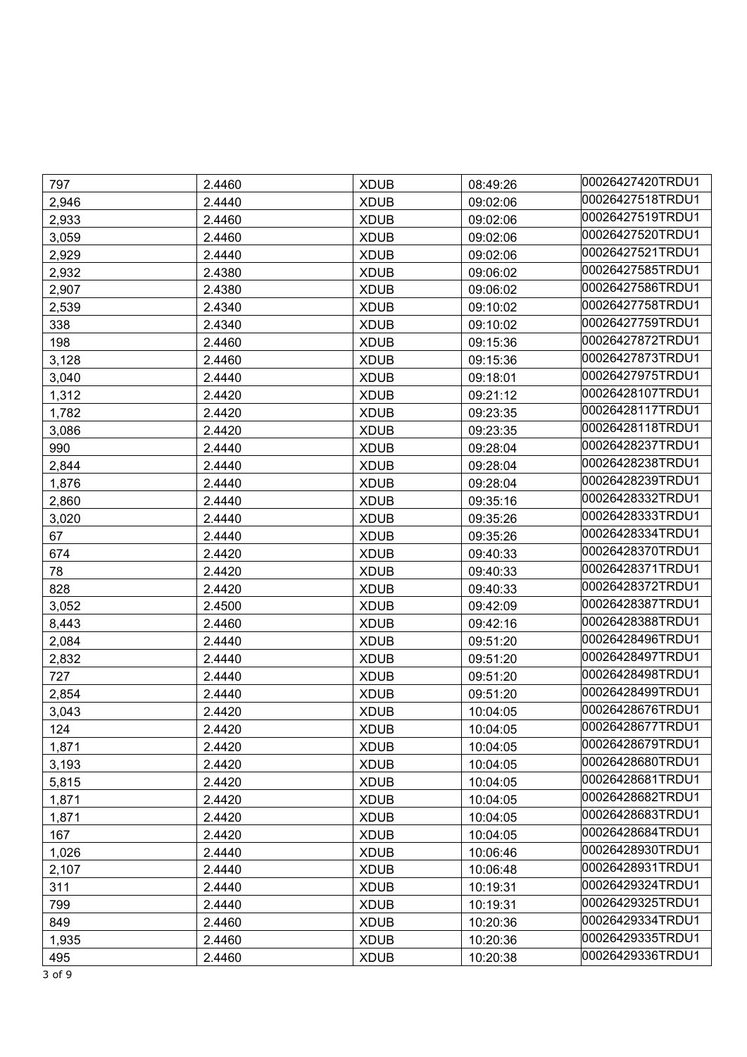| 797   | 2.4460 | <b>XDUB</b> | 08:49:26 | 00026427420TRDU1 |
|-------|--------|-------------|----------|------------------|
| 2,946 | 2.4440 | <b>XDUB</b> | 09:02:06 | 00026427518TRDU1 |
| 2,933 | 2.4460 | <b>XDUB</b> | 09:02:06 | 00026427519TRDU1 |
| 3,059 | 2.4460 | <b>XDUB</b> | 09:02:06 | 00026427520TRDU1 |
| 2,929 | 2.4440 | <b>XDUB</b> | 09:02:06 | 00026427521TRDU1 |
| 2,932 | 2.4380 | <b>XDUB</b> | 09:06:02 | 00026427585TRDU1 |
| 2,907 | 2.4380 | <b>XDUB</b> | 09:06:02 | 00026427586TRDU1 |
| 2,539 | 2.4340 | <b>XDUB</b> | 09:10:02 | 00026427758TRDU1 |
| 338   | 2.4340 | <b>XDUB</b> | 09:10:02 | 00026427759TRDU1 |
| 198   | 2.4460 | <b>XDUB</b> | 09:15:36 | 00026427872TRDU1 |
| 3,128 | 2.4460 | <b>XDUB</b> | 09:15:36 | 00026427873TRDU1 |
| 3,040 | 2.4440 | <b>XDUB</b> | 09:18:01 | 00026427975TRDU1 |
| 1,312 | 2.4420 | <b>XDUB</b> | 09:21:12 | 00026428107TRDU1 |
| 1,782 | 2.4420 | <b>XDUB</b> | 09:23:35 | 00026428117TRDU1 |
| 3,086 | 2.4420 | <b>XDUB</b> | 09:23:35 | 00026428118TRDU1 |
| 990   | 2.4440 | <b>XDUB</b> | 09:28:04 | 00026428237TRDU1 |
| 2,844 | 2.4440 | <b>XDUB</b> | 09:28:04 | 00026428238TRDU1 |
| 1,876 | 2.4440 | <b>XDUB</b> | 09:28:04 | 00026428239TRDU1 |
| 2,860 | 2.4440 | <b>XDUB</b> | 09:35:16 | 00026428332TRDU1 |
| 3,020 | 2.4440 | <b>XDUB</b> | 09:35:26 | 00026428333TRDU1 |
| 67    | 2.4440 | <b>XDUB</b> | 09:35:26 | 00026428334TRDU1 |
| 674   | 2.4420 | <b>XDUB</b> | 09:40:33 | 00026428370TRDU1 |
| 78    | 2.4420 | <b>XDUB</b> | 09:40:33 | 00026428371TRDU1 |
| 828   | 2.4420 | <b>XDUB</b> | 09:40:33 | 00026428372TRDU1 |
| 3,052 | 2.4500 | <b>XDUB</b> | 09:42:09 | 00026428387TRDU1 |
| 8,443 | 2.4460 | <b>XDUB</b> | 09:42:16 | 00026428388TRDU1 |
| 2,084 | 2.4440 | <b>XDUB</b> | 09:51:20 | 00026428496TRDU1 |
| 2,832 | 2.4440 | <b>XDUB</b> | 09:51:20 | 00026428497TRDU1 |
| 727   | 2.4440 | <b>XDUB</b> | 09:51:20 | 00026428498TRDU1 |
| 2,854 | 2.4440 | <b>XDUB</b> | 09:51:20 | 00026428499TRDU1 |
| 3,043 | 2.4420 | <b>XDUB</b> | 10:04:05 | 00026428676TRDU1 |
| 124   | 2.4420 | <b>XDUB</b> | 10:04:05 | 00026428677TRDU1 |
| 1,871 | 2.4420 | <b>XDUB</b> | 10:04:05 | 00026428679TRDU1 |
| 3,193 | 2.4420 | <b>XDUB</b> | 10:04:05 | 00026428680TRDU1 |
| 5,815 | 2.4420 | <b>XDUB</b> | 10:04:05 | 00026428681TRDU1 |
| 1,871 | 2.4420 | <b>XDUB</b> | 10:04:05 | 00026428682TRDU1 |
| 1,871 | 2.4420 | <b>XDUB</b> | 10:04:05 | 00026428683TRDU1 |
| 167   | 2.4420 | <b>XDUB</b> | 10:04:05 | 00026428684TRDU1 |
| 1,026 | 2.4440 | <b>XDUB</b> | 10:06:46 | 00026428930TRDU1 |
| 2,107 | 2.4440 | <b>XDUB</b> | 10:06:48 | 00026428931TRDU1 |
| 311   | 2.4440 | <b>XDUB</b> | 10:19:31 | 00026429324TRDU1 |
| 799   | 2.4440 | <b>XDUB</b> | 10:19:31 | 00026429325TRDU1 |
| 849   | 2.4460 | <b>XDUB</b> | 10:20:36 | 00026429334TRDU1 |
| 1,935 | 2.4460 | <b>XDUB</b> | 10:20:36 | 00026429335TRDU1 |
| 495   | 2.4460 | <b>XDUB</b> | 10:20:38 | 00026429336TRDU1 |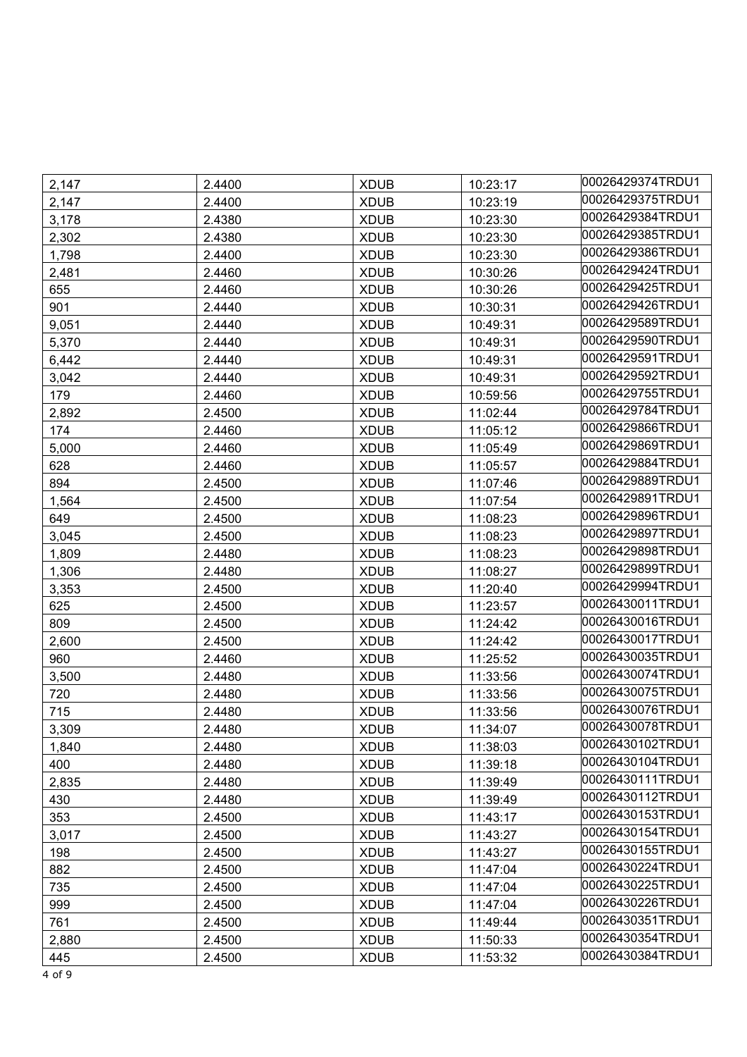| 2,147 | 2.4400 | <b>XDUB</b> | 10:23:17 | 00026429374TRDU1 |
|-------|--------|-------------|----------|------------------|
| 2,147 | 2.4400 | <b>XDUB</b> | 10:23:19 | 00026429375TRDU1 |
| 3,178 | 2.4380 | <b>XDUB</b> | 10:23:30 | 00026429384TRDU1 |
| 2,302 | 2.4380 | <b>XDUB</b> | 10:23:30 | 00026429385TRDU1 |
| 1,798 | 2.4400 | <b>XDUB</b> | 10:23:30 | 00026429386TRDU1 |
| 2,481 | 2.4460 | <b>XDUB</b> | 10:30:26 | 00026429424TRDU1 |
| 655   | 2.4460 | <b>XDUB</b> | 10:30:26 | 00026429425TRDU1 |
| 901   | 2.4440 | <b>XDUB</b> | 10:30:31 | 00026429426TRDU1 |
| 9,051 | 2.4440 | <b>XDUB</b> | 10:49:31 | 00026429589TRDU1 |
| 5,370 | 2.4440 | <b>XDUB</b> | 10:49:31 | 00026429590TRDU1 |
| 6,442 | 2.4440 | <b>XDUB</b> | 10:49:31 | 00026429591TRDU1 |
| 3,042 | 2.4440 | <b>XDUB</b> | 10:49:31 | 00026429592TRDU1 |
| 179   | 2.4460 | <b>XDUB</b> | 10:59:56 | 00026429755TRDU1 |
| 2,892 | 2.4500 | <b>XDUB</b> | 11:02:44 | 00026429784TRDU1 |
| 174   | 2.4460 | <b>XDUB</b> | 11:05:12 | 00026429866TRDU1 |
| 5,000 | 2.4460 | <b>XDUB</b> | 11:05:49 | 00026429869TRDU1 |
| 628   | 2.4460 | <b>XDUB</b> | 11:05:57 | 00026429884TRDU1 |
| 894   | 2.4500 | <b>XDUB</b> | 11:07:46 | 00026429889TRDU1 |
| 1,564 | 2.4500 | <b>XDUB</b> | 11:07:54 | 00026429891TRDU1 |
| 649   | 2.4500 | <b>XDUB</b> | 11:08:23 | 00026429896TRDU1 |
| 3,045 | 2.4500 | <b>XDUB</b> | 11:08:23 | 00026429897TRDU1 |
| 1,809 | 2.4480 | <b>XDUB</b> | 11:08:23 | 00026429898TRDU1 |
| 1,306 | 2.4480 | <b>XDUB</b> | 11:08:27 | 00026429899TRDU1 |
| 3,353 | 2.4500 | <b>XDUB</b> | 11:20:40 | 00026429994TRDU1 |
| 625   | 2.4500 | <b>XDUB</b> | 11:23:57 | 00026430011TRDU1 |
| 809   | 2.4500 | <b>XDUB</b> | 11:24:42 | 00026430016TRDU1 |
| 2,600 | 2.4500 | <b>XDUB</b> | 11:24:42 | 00026430017TRDU1 |
| 960   | 2.4460 | <b>XDUB</b> | 11:25:52 | 00026430035TRDU1 |
| 3,500 | 2.4480 | <b>XDUB</b> | 11:33:56 | 00026430074TRDU1 |
| 720   | 2.4480 | <b>XDUB</b> | 11:33:56 | 00026430075TRDU1 |
| 715   | 2.4480 | <b>XDUB</b> | 11:33:56 | 00026430076TRDU1 |
| 3,309 | 2.4480 | <b>XDUB</b> | 11:34:07 | 00026430078TRDU1 |
| 1,840 | 2.4480 | <b>XDUB</b> | 11:38:03 | 00026430102TRDU1 |
| 400   | 2.4480 | <b>XDUB</b> | 11:39:18 | 00026430104TRDU1 |
| 2,835 | 2.4480 | <b>XDUB</b> | 11:39:49 | 00026430111TRDU1 |
| 430   | 2.4480 | <b>XDUB</b> | 11:39:49 | 00026430112TRDU1 |
| 353   | 2.4500 | <b>XDUB</b> | 11:43:17 | 00026430153TRDU1 |
| 3,017 | 2.4500 | <b>XDUB</b> | 11:43:27 | 00026430154TRDU1 |
| 198   | 2.4500 | <b>XDUB</b> | 11:43:27 | 00026430155TRDU1 |
| 882   | 2.4500 | <b>XDUB</b> | 11:47:04 | 00026430224TRDU1 |
| 735   | 2.4500 | <b>XDUB</b> | 11:47:04 | 00026430225TRDU1 |
| 999   | 2.4500 | <b>XDUB</b> | 11:47:04 | 00026430226TRDU1 |
| 761   | 2.4500 | <b>XDUB</b> | 11:49:44 | 00026430351TRDU1 |
| 2,880 | 2.4500 | <b>XDUB</b> | 11:50:33 | 00026430354TRDU1 |
| 445   | 2.4500 | <b>XDUB</b> | 11:53:32 | 00026430384TRDU1 |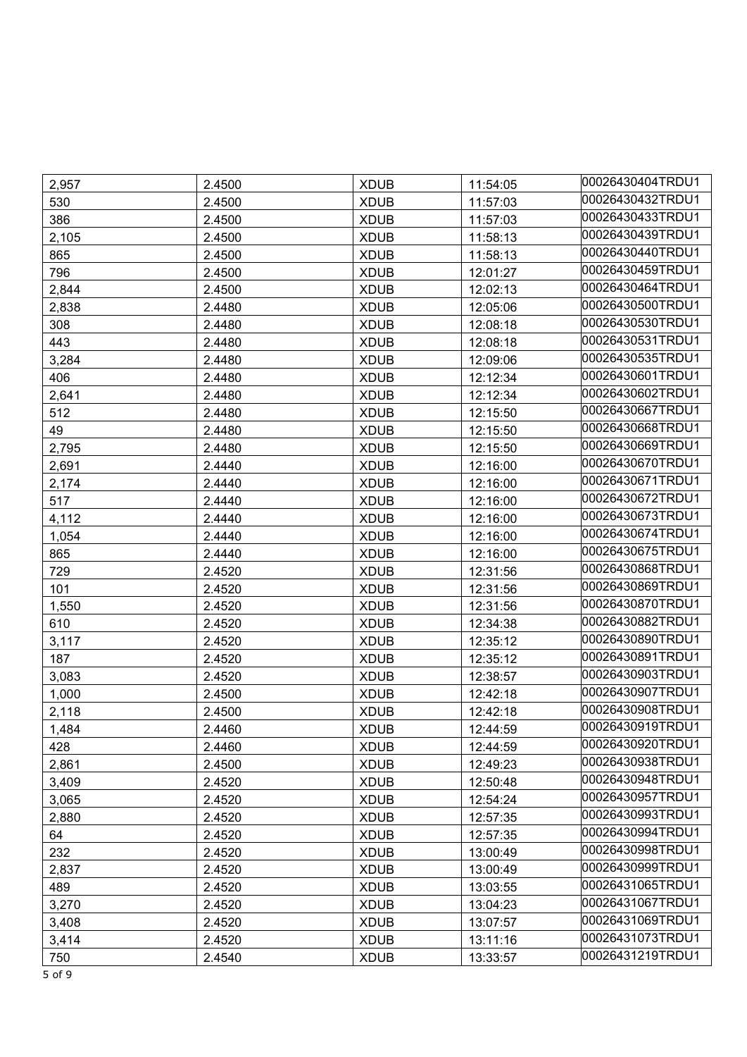| 2,957 | 2.4500 | <b>XDUB</b> | 11:54:05 | 00026430404TRDU1 |
|-------|--------|-------------|----------|------------------|
| 530   | 2.4500 | <b>XDUB</b> | 11:57:03 | 00026430432TRDU1 |
| 386   | 2.4500 | <b>XDUB</b> | 11:57:03 | 00026430433TRDU1 |
| 2,105 | 2.4500 | <b>XDUB</b> | 11:58:13 | 00026430439TRDU1 |
| 865   | 2.4500 | <b>XDUB</b> | 11:58:13 | 00026430440TRDU1 |
| 796   | 2.4500 | <b>XDUB</b> | 12:01:27 | 00026430459TRDU1 |
| 2,844 | 2.4500 | <b>XDUB</b> | 12:02:13 | 00026430464TRDU1 |
| 2,838 | 2.4480 | <b>XDUB</b> | 12:05:06 | 00026430500TRDU1 |
| 308   | 2.4480 | <b>XDUB</b> | 12:08:18 | 00026430530TRDU1 |
| 443   | 2.4480 | <b>XDUB</b> | 12:08:18 | 00026430531TRDU1 |
| 3,284 | 2.4480 | <b>XDUB</b> | 12:09:06 | 00026430535TRDU1 |
| 406   | 2.4480 | <b>XDUB</b> | 12:12:34 | 00026430601TRDU1 |
| 2,641 | 2.4480 | <b>XDUB</b> | 12:12:34 | 00026430602TRDU1 |
| 512   | 2.4480 | <b>XDUB</b> | 12:15:50 | 00026430667TRDU1 |
| 49    | 2.4480 | <b>XDUB</b> | 12:15:50 | 00026430668TRDU1 |
| 2,795 | 2.4480 | <b>XDUB</b> | 12:15:50 | 00026430669TRDU1 |
| 2,691 | 2.4440 | <b>XDUB</b> | 12:16:00 | 00026430670TRDU1 |
| 2,174 | 2.4440 | <b>XDUB</b> | 12:16:00 | 00026430671TRDU1 |
| 517   | 2.4440 | <b>XDUB</b> | 12:16:00 | 00026430672TRDU1 |
| 4,112 | 2.4440 | <b>XDUB</b> | 12:16:00 | 00026430673TRDU1 |
| 1,054 | 2.4440 | <b>XDUB</b> | 12:16:00 | 00026430674TRDU1 |
| 865   | 2.4440 | <b>XDUB</b> | 12:16:00 | 00026430675TRDU1 |
| 729   | 2.4520 | <b>XDUB</b> | 12:31:56 | 00026430868TRDU1 |
| 101   | 2.4520 | <b>XDUB</b> | 12:31:56 | 00026430869TRDU1 |
| 1,550 | 2.4520 | <b>XDUB</b> | 12:31:56 | 00026430870TRDU1 |
| 610   | 2.4520 | <b>XDUB</b> | 12:34:38 | 00026430882TRDU1 |
| 3,117 | 2.4520 | <b>XDUB</b> | 12:35:12 | 00026430890TRDU1 |
| 187   | 2.4520 | <b>XDUB</b> | 12:35:12 | 00026430891TRDU1 |
| 3,083 | 2.4520 | <b>XDUB</b> | 12:38:57 | 00026430903TRDU1 |
| 1,000 | 2.4500 | <b>XDUB</b> | 12:42:18 | 00026430907TRDU1 |
| 2,118 | 2.4500 | <b>XDUB</b> | 12:42:18 | 00026430908TRDU1 |
| 1,484 | 2.4460 | <b>XDUB</b> | 12:44:59 | 00026430919TRDU1 |
| 428   | 2.4460 | <b>XDUB</b> | 12:44:59 | 00026430920TRDU1 |
| 2,861 | 2.4500 | <b>XDUB</b> | 12:49:23 | 00026430938TRDU1 |
| 3,409 | 2.4520 | <b>XDUB</b> | 12:50:48 | 00026430948TRDU1 |
| 3.065 | 2.4520 | <b>XDUB</b> | 12:54:24 | 00026430957TRDU1 |
| 2,880 | 2.4520 | <b>XDUB</b> | 12:57:35 | 00026430993TRDU1 |
| 64    | 2.4520 | <b>XDUB</b> | 12:57:35 | 00026430994TRDU1 |
| 232   | 2.4520 | <b>XDUB</b> | 13:00:49 | 00026430998TRDU1 |
| 2,837 | 2.4520 | <b>XDUB</b> | 13:00:49 | 00026430999TRDU1 |
| 489   | 2.4520 | <b>XDUB</b> | 13:03:55 | 00026431065TRDU1 |
| 3,270 | 2.4520 | <b>XDUB</b> | 13:04:23 | 00026431067TRDU1 |
| 3,408 | 2.4520 | <b>XDUB</b> | 13:07:57 | 00026431069TRDU1 |
| 3,414 | 2.4520 | <b>XDUB</b> | 13:11:16 | 00026431073TRDU1 |
| 750   | 2.4540 | <b>XDUB</b> | 13:33:57 | 00026431219TRDU1 |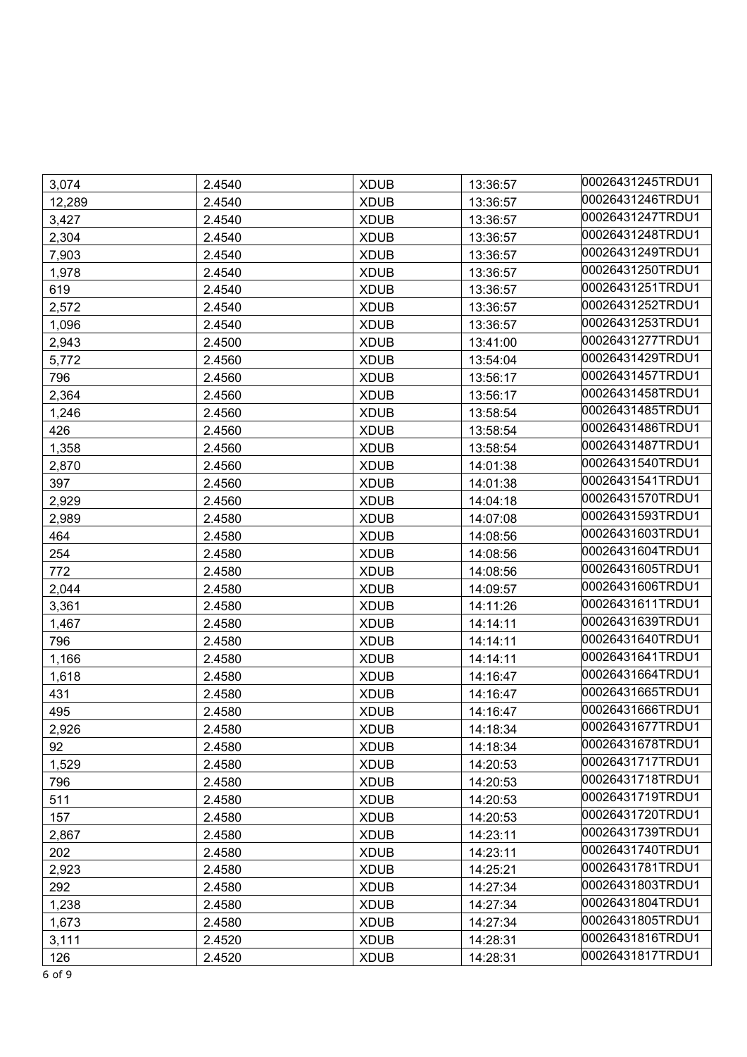| 3,074  | 2.4540 | <b>XDUB</b> | 13:36:57 | 00026431245TRDU1 |
|--------|--------|-------------|----------|------------------|
| 12,289 | 2.4540 | <b>XDUB</b> | 13:36:57 | 00026431246TRDU1 |
| 3,427  | 2.4540 | <b>XDUB</b> | 13:36:57 | 00026431247TRDU1 |
| 2,304  | 2.4540 | <b>XDUB</b> | 13:36:57 | 00026431248TRDU1 |
| 7,903  | 2.4540 | <b>XDUB</b> | 13:36:57 | 00026431249TRDU1 |
| 1,978  | 2.4540 | <b>XDUB</b> | 13:36:57 | 00026431250TRDU1 |
| 619    | 2.4540 | <b>XDUB</b> | 13:36:57 | 00026431251TRDU1 |
| 2,572  | 2.4540 | <b>XDUB</b> | 13:36:57 | 00026431252TRDU1 |
| 1,096  | 2.4540 | <b>XDUB</b> | 13:36:57 | 00026431253TRDU1 |
| 2,943  | 2.4500 | <b>XDUB</b> | 13:41:00 | 00026431277TRDU1 |
| 5,772  | 2.4560 | <b>XDUB</b> | 13:54:04 | 00026431429TRDU1 |
| 796    | 2.4560 | <b>XDUB</b> | 13:56:17 | 00026431457TRDU1 |
| 2,364  | 2.4560 | <b>XDUB</b> | 13:56:17 | 00026431458TRDU1 |
| 1,246  | 2.4560 | <b>XDUB</b> | 13:58:54 | 00026431485TRDU1 |
| 426    | 2.4560 | <b>XDUB</b> | 13:58:54 | 00026431486TRDU1 |
| 1,358  | 2.4560 | <b>XDUB</b> | 13:58:54 | 00026431487TRDU1 |
| 2,870  | 2.4560 | <b>XDUB</b> | 14:01:38 | 00026431540TRDU1 |
| 397    | 2.4560 | <b>XDUB</b> | 14:01:38 | 00026431541TRDU1 |
| 2,929  | 2.4560 | <b>XDUB</b> | 14:04:18 | 00026431570TRDU1 |
| 2,989  | 2.4580 | <b>XDUB</b> | 14:07:08 | 00026431593TRDU1 |
| 464    | 2.4580 | <b>XDUB</b> | 14:08:56 | 00026431603TRDU1 |
| 254    | 2.4580 | <b>XDUB</b> | 14:08:56 | 00026431604TRDU1 |
| 772    | 2.4580 | <b>XDUB</b> | 14:08:56 | 00026431605TRDU1 |
| 2,044  | 2.4580 | <b>XDUB</b> | 14:09:57 | 00026431606TRDU1 |
| 3,361  | 2.4580 | <b>XDUB</b> | 14:11:26 | 00026431611TRDU1 |
| 1,467  | 2.4580 | <b>XDUB</b> | 14:14:11 | 00026431639TRDU1 |
| 796    | 2.4580 | <b>XDUB</b> | 14:14:11 | 00026431640TRDU1 |
| 1,166  | 2.4580 | <b>XDUB</b> | 14:14:11 | 00026431641TRDU1 |
| 1,618  | 2.4580 | <b>XDUB</b> | 14:16:47 | 00026431664TRDU1 |
| 431    | 2.4580 | <b>XDUB</b> | 14:16:47 | 00026431665TRDU1 |
| 495    | 2.4580 | <b>XDUB</b> | 14:16:47 | 00026431666TRDU1 |
| 2,926  | 2.4580 | <b>XDUB</b> | 14:18:34 | 00026431677TRDU1 |
| 92     | 2.4580 | <b>XDUB</b> | 14:18:34 | 00026431678TRDU1 |
| 1,529  | 2.4580 | <b>XDUB</b> | 14:20:53 | 00026431717TRDU1 |
| 796    | 2.4580 | <b>XDUB</b> | 14:20:53 | 00026431718TRDU1 |
| 511    | 2.4580 | <b>XDUB</b> | 14:20:53 | 00026431719TRDU1 |
| 157    | 2.4580 | <b>XDUB</b> | 14:20:53 | 00026431720TRDU1 |
| 2,867  | 2.4580 | <b>XDUB</b> | 14:23:11 | 00026431739TRDU1 |
| 202    | 2.4580 | <b>XDUB</b> | 14:23:11 | 00026431740TRDU1 |
| 2,923  | 2.4580 | <b>XDUB</b> | 14:25:21 | 00026431781TRDU1 |
| 292    | 2.4580 | <b>XDUB</b> | 14:27:34 | 00026431803TRDU1 |
| 1,238  | 2.4580 | <b>XDUB</b> | 14:27:34 | 00026431804TRDU1 |
| 1,673  | 2.4580 | <b>XDUB</b> | 14:27:34 | 00026431805TRDU1 |
| 3,111  | 2.4520 | <b>XDUB</b> | 14:28:31 | 00026431816TRDU1 |
| 126    | 2.4520 | <b>XDUB</b> | 14:28:31 | 00026431817TRDU1 |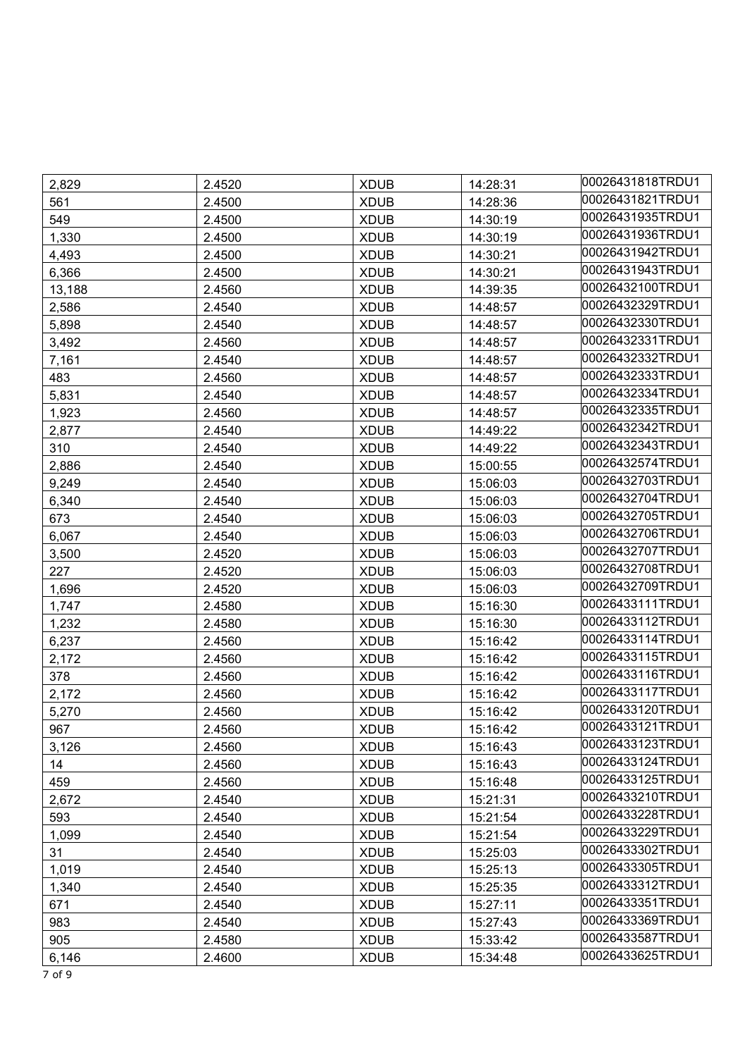| 2,829  | 2.4520 | <b>XDUB</b> | 14:28:31 | 00026431818TRDU1 |
|--------|--------|-------------|----------|------------------|
| 561    | 2.4500 | <b>XDUB</b> | 14:28:36 | 00026431821TRDU1 |
| 549    | 2.4500 | <b>XDUB</b> | 14:30:19 | 00026431935TRDU1 |
| 1,330  | 2.4500 | <b>XDUB</b> | 14:30:19 | 00026431936TRDU1 |
| 4,493  | 2.4500 | <b>XDUB</b> | 14:30:21 | 00026431942TRDU1 |
| 6,366  | 2.4500 | <b>XDUB</b> | 14:30:21 | 00026431943TRDU1 |
| 13,188 | 2.4560 | <b>XDUB</b> | 14:39:35 | 00026432100TRDU1 |
| 2,586  | 2.4540 | <b>XDUB</b> | 14:48:57 | 00026432329TRDU1 |
| 5,898  | 2.4540 | <b>XDUB</b> | 14:48:57 | 00026432330TRDU1 |
| 3,492  | 2.4560 | <b>XDUB</b> | 14:48:57 | 00026432331TRDU1 |
| 7,161  | 2.4540 | <b>XDUB</b> | 14:48:57 | 00026432332TRDU1 |
| 483    | 2.4560 | <b>XDUB</b> | 14:48:57 | 00026432333TRDU1 |
| 5,831  | 2.4540 | <b>XDUB</b> | 14:48:57 | 00026432334TRDU1 |
| 1,923  | 2.4560 | <b>XDUB</b> | 14:48:57 | 00026432335TRDU1 |
| 2,877  | 2.4540 | <b>XDUB</b> | 14:49:22 | 00026432342TRDU1 |
| 310    | 2.4540 | <b>XDUB</b> | 14:49:22 | 00026432343TRDU1 |
| 2,886  | 2.4540 | <b>XDUB</b> | 15:00:55 | 00026432574TRDU1 |
| 9,249  | 2.4540 | <b>XDUB</b> | 15:06:03 | 00026432703TRDU1 |
| 6,340  | 2.4540 | <b>XDUB</b> | 15:06:03 | 00026432704TRDU1 |
| 673    | 2.4540 | <b>XDUB</b> | 15:06:03 | 00026432705TRDU1 |
| 6,067  | 2.4540 | <b>XDUB</b> | 15:06:03 | 00026432706TRDU1 |
| 3,500  | 2.4520 | <b>XDUB</b> | 15:06:03 | 00026432707TRDU1 |
| 227    | 2.4520 | <b>XDUB</b> | 15:06:03 | 00026432708TRDU1 |
| 1,696  | 2.4520 | <b>XDUB</b> | 15:06:03 | 00026432709TRDU1 |
| 1,747  | 2.4580 | <b>XDUB</b> | 15:16:30 | 00026433111TRDU1 |
| 1,232  | 2.4580 | <b>XDUB</b> | 15:16:30 | 00026433112TRDU1 |
| 6,237  | 2.4560 | <b>XDUB</b> | 15:16:42 | 00026433114TRDU1 |
| 2,172  | 2.4560 | <b>XDUB</b> | 15:16:42 | 00026433115TRDU1 |
| 378    | 2.4560 | <b>XDUB</b> | 15:16:42 | 00026433116TRDU1 |
| 2,172  | 2.4560 | <b>XDUB</b> | 15:16:42 | 00026433117TRDU1 |
| 5,270  | 2.4560 | <b>XDUB</b> | 15:16:42 | 00026433120TRDU1 |
| 967    | 2.4560 | <b>XDUB</b> | 15:16:42 | 00026433121TRDU1 |
| 3,126  | 2.4560 | <b>XDUB</b> | 15:16:43 | 00026433123TRDU1 |
| 14     | 2.4560 | <b>XDUB</b> | 15:16:43 | 00026433124TRDU1 |
| 459    | 2.4560 | <b>XDUB</b> | 15:16:48 | 00026433125TRDU1 |
| 2,672  | 2.4540 | <b>XDUB</b> | 15:21:31 | 00026433210TRDU1 |
| 593    | 2.4540 | <b>XDUB</b> | 15:21:54 | 00026433228TRDU1 |
| 1,099  | 2.4540 | <b>XDUB</b> | 15:21:54 | 00026433229TRDU1 |
| 31     | 2.4540 | <b>XDUB</b> | 15:25:03 | 00026433302TRDU1 |
| 1,019  | 2.4540 | <b>XDUB</b> | 15:25:13 | 00026433305TRDU1 |
| 1,340  | 2.4540 | <b>XDUB</b> | 15:25:35 | 00026433312TRDU1 |
| 671    | 2.4540 | <b>XDUB</b> | 15:27:11 | 00026433351TRDU1 |
| 983    | 2.4540 | <b>XDUB</b> | 15:27:43 | 00026433369TRDU1 |
| 905    | 2.4580 | <b>XDUB</b> | 15:33:42 | 00026433587TRDU1 |
| 6,146  | 2.4600 | <b>XDUB</b> | 15:34:48 | 00026433625TRDU1 |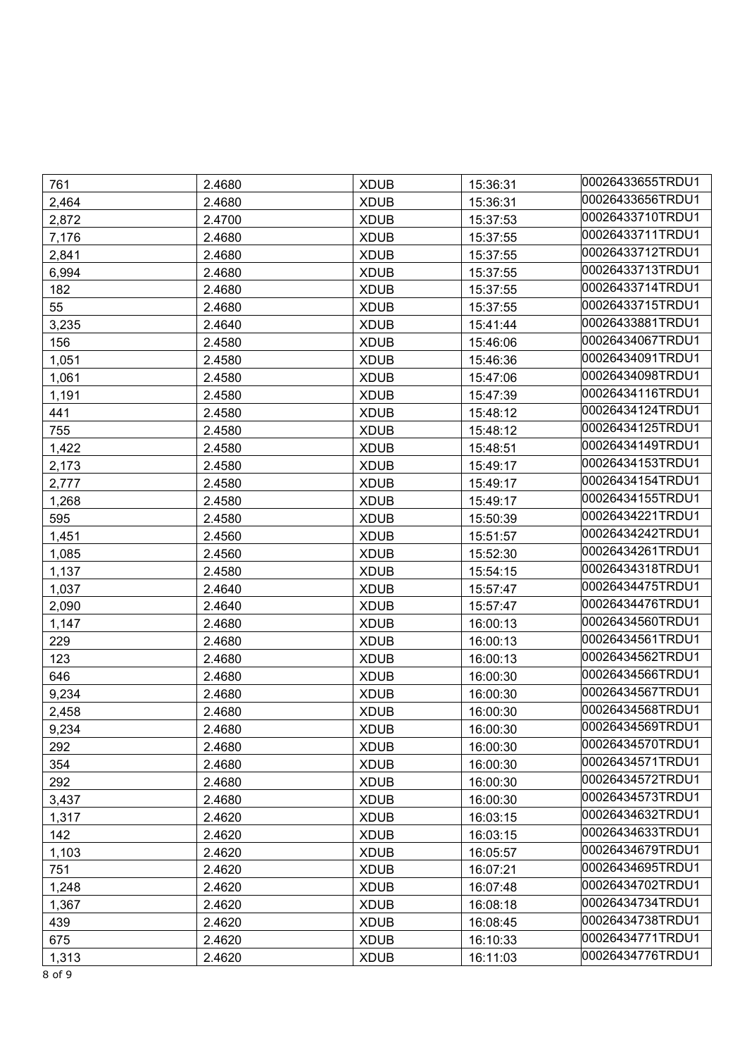| 761   | 2.4680 | <b>XDUB</b> | 15:36:31 | 00026433655TRDU1 |
|-------|--------|-------------|----------|------------------|
| 2,464 | 2.4680 | <b>XDUB</b> | 15:36:31 | 00026433656TRDU1 |
| 2,872 | 2.4700 | <b>XDUB</b> | 15:37:53 | 00026433710TRDU1 |
| 7,176 | 2.4680 | <b>XDUB</b> | 15:37:55 | 00026433711TRDU1 |
| 2,841 | 2.4680 | <b>XDUB</b> | 15:37:55 | 00026433712TRDU1 |
| 6,994 | 2.4680 | <b>XDUB</b> | 15:37:55 | 00026433713TRDU1 |
| 182   | 2.4680 | <b>XDUB</b> | 15:37:55 | 00026433714TRDU1 |
| 55    | 2.4680 | <b>XDUB</b> | 15:37:55 | 00026433715TRDU1 |
| 3,235 | 2.4640 | <b>XDUB</b> | 15:41:44 | 00026433881TRDU1 |
| 156   | 2.4580 | <b>XDUB</b> | 15:46:06 | 00026434067TRDU1 |
| 1,051 | 2.4580 | <b>XDUB</b> | 15:46:36 | 00026434091TRDU1 |
| 1,061 | 2.4580 | <b>XDUB</b> | 15:47:06 | 00026434098TRDU1 |
| 1,191 | 2.4580 | <b>XDUB</b> | 15:47:39 | 00026434116TRDU1 |
| 441   | 2.4580 | <b>XDUB</b> | 15:48:12 | 00026434124TRDU1 |
| 755   | 2.4580 | <b>XDUB</b> | 15:48:12 | 00026434125TRDU1 |
| 1,422 | 2.4580 | <b>XDUB</b> | 15:48:51 | 00026434149TRDU1 |
| 2,173 | 2.4580 | <b>XDUB</b> | 15:49:17 | 00026434153TRDU1 |
| 2,777 | 2.4580 | <b>XDUB</b> | 15:49:17 | 00026434154TRDU1 |
| 1,268 | 2.4580 | <b>XDUB</b> | 15:49:17 | 00026434155TRDU1 |
| 595   | 2.4580 | <b>XDUB</b> | 15:50:39 | 00026434221TRDU1 |
| 1,451 | 2.4560 | <b>XDUB</b> | 15:51:57 | 00026434242TRDU1 |
| 1,085 | 2.4560 | <b>XDUB</b> | 15:52:30 | 00026434261TRDU1 |
| 1,137 | 2.4580 | <b>XDUB</b> | 15:54:15 | 00026434318TRDU1 |
| 1,037 | 2.4640 | <b>XDUB</b> | 15:57:47 | 00026434475TRDU1 |
| 2,090 | 2.4640 | <b>XDUB</b> | 15:57:47 | 00026434476TRDU1 |
| 1,147 | 2.4680 | <b>XDUB</b> | 16:00:13 | 00026434560TRDU1 |
| 229   | 2.4680 | <b>XDUB</b> | 16:00:13 | 00026434561TRDU1 |
| 123   | 2.4680 | <b>XDUB</b> | 16:00:13 | 00026434562TRDU1 |
| 646   | 2.4680 | <b>XDUB</b> | 16:00:30 | 00026434566TRDU1 |
| 9,234 | 2.4680 | <b>XDUB</b> | 16:00:30 | 00026434567TRDU1 |
| 2,458 | 2.4680 | <b>XDUB</b> | 16:00:30 | 00026434568TRDU1 |
| 9,234 | 2.4680 | <b>XDUB</b> | 16:00:30 | 00026434569TRDU1 |
| 292   | 2.4680 | <b>XDUB</b> | 16:00:30 | 00026434570TRDU1 |
| 354   | 2.4680 | <b>XDUB</b> | 16:00:30 | 00026434571TRDU1 |
| 292   | 2.4680 | <b>XDUB</b> | 16:00:30 | 00026434572TRDU1 |
| 3,437 | 2.4680 | <b>XDUB</b> | 16:00:30 | 00026434573TRDU1 |
| 1,317 | 2.4620 | <b>XDUB</b> | 16:03:15 | 00026434632TRDU1 |
| 142   | 2.4620 | <b>XDUB</b> | 16:03:15 | 00026434633TRDU1 |
| 1,103 | 2.4620 | <b>XDUB</b> | 16:05:57 | 00026434679TRDU1 |
| 751   | 2.4620 | <b>XDUB</b> | 16:07:21 | 00026434695TRDU1 |
| 1,248 | 2.4620 | <b>XDUB</b> | 16:07:48 | 00026434702TRDU1 |
| 1,367 | 2.4620 | <b>XDUB</b> | 16:08:18 | 00026434734TRDU1 |
| 439   | 2.4620 | <b>XDUB</b> | 16:08:45 | 00026434738TRDU1 |
| 675   | 2.4620 | <b>XDUB</b> | 16:10:33 | 00026434771TRDU1 |
| 1,313 | 2.4620 | <b>XDUB</b> | 16:11:03 | 00026434776TRDU1 |